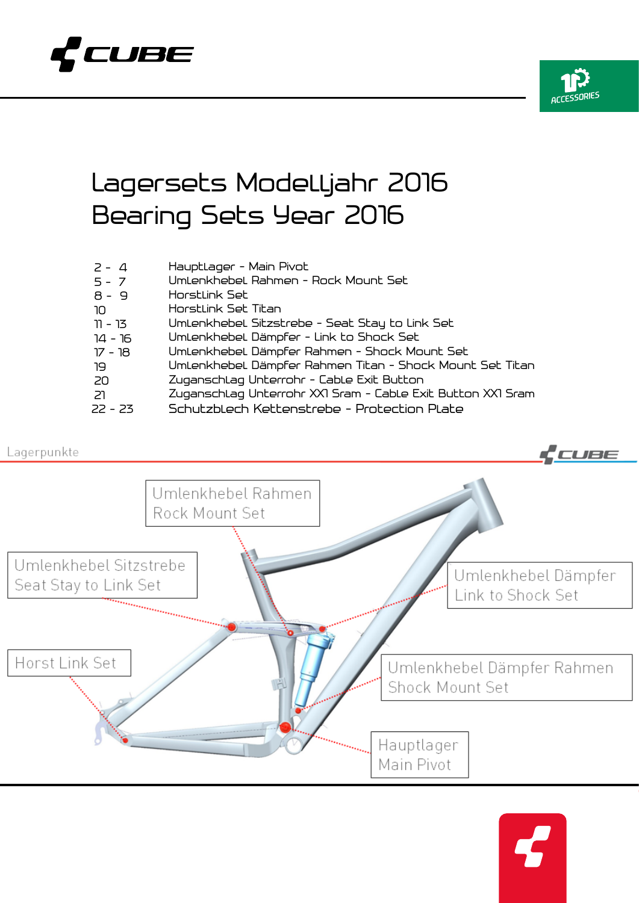



# Lagersets Modelljahr 2016 Bearing Sets Year 2016

| $2 - 4$   | Hauptlager - Main Pivot                                     |
|-----------|-------------------------------------------------------------|
| $5 - 7$   | UmLenkhebel Rahmen - Rock Mount Set                         |
| $8 - 9$   | HorstLink Set                                               |
| סר        | HorstLink Set Titan                                         |
| 17 - 3    | UmLenkhebel Sitzstrebe - Seat Stay to Link Set              |
| 14 - 16   | UmLenkhebel Dämpfer - Link to Shock Set                     |
| 8ו - 7ו   | UmLenkhebel Dämpfer Rahmen - Shock Mount Set                |
| פר        | UmLenkhebel Dämpfer Rahmen Titan - Shock Mount Set Titan    |
| -20       | Zuganschlag Unterrohr - Cable Exit Button                   |
| 21        | Zuganschlag Unterrohr XXI Sram - Cable Exit Button XXI Sram |
| $22 - 23$ | Schutzblech Kettenstrebe - Protection Plate                 |

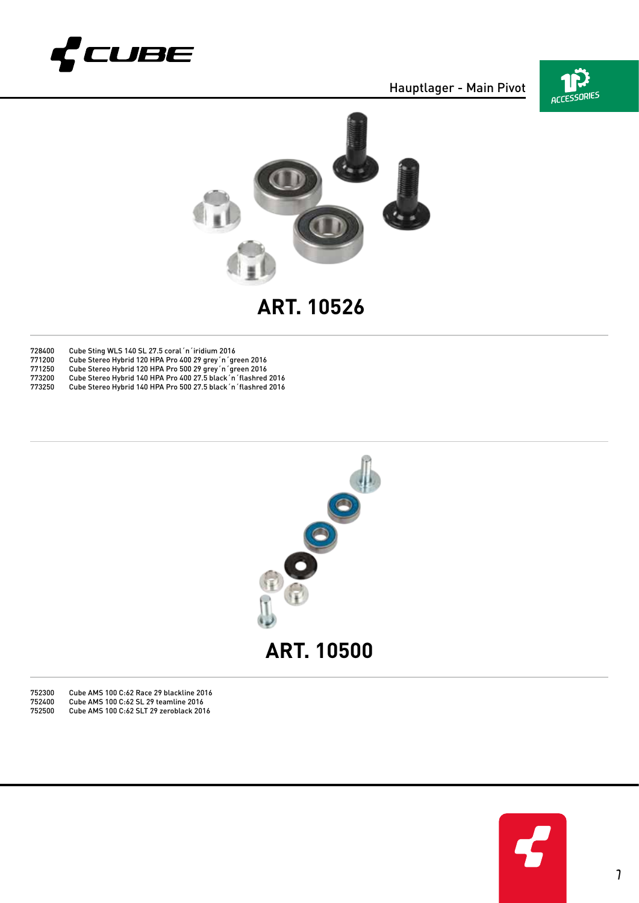

Hauptlager - Main Pivot





**ART. 10526**

| 728400 | Cube Sting WLS 140 SL 27.5 coral 'n 'iridium 2016               |
|--------|-----------------------------------------------------------------|
| 771200 | Cube Stereo Hybrid 120 HPA Pro 400 29 grey 'n 'green 2016       |
| 771250 | Cube Stereo Hybrid 120 HPA Pro 500 29 grey'n 'green 2016        |
| 773200 | Cube Stereo Hybrid 140 HPA Pro 400 27.5 black 'n 'flashred 2016 |
|        |                                                                 |

Cube Stereo Hybrid 140 HPA Pro 500 27.5 black´n´flashred 2016



 Cube AMS 100 C:62 Race 29 blackline 2016 Cube AMS 100 C:62 SL 29 teamline 2016 Cube AMS 100 C:62 SLT 29 zeroblack 2016

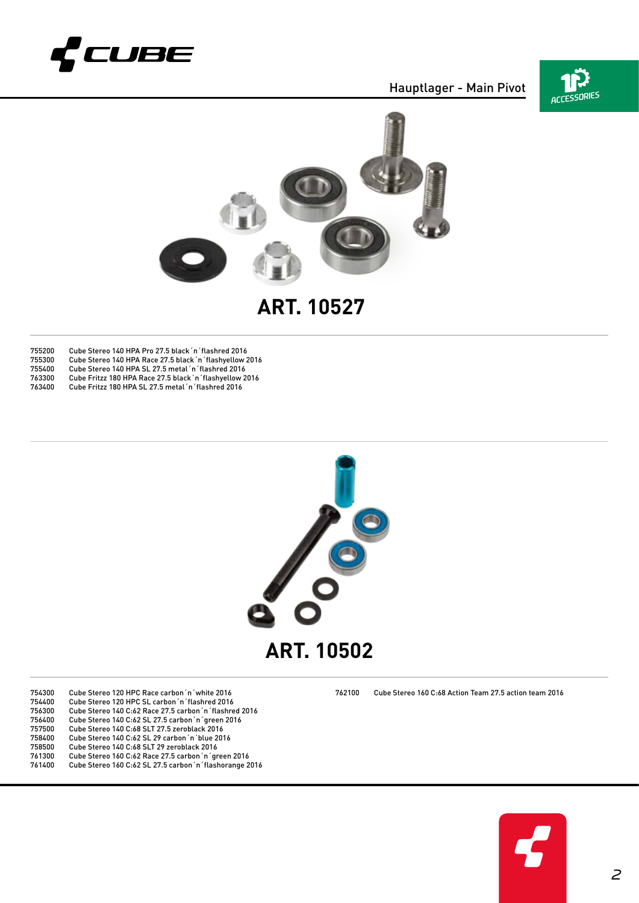

Hauptlager - Main Pivot





**ART. 10527**

| 755200 | Cube Stereo 140 HPA Pro 27.5 black 'n 'flashred 2016     |
|--------|----------------------------------------------------------|
| 755300 | Cube Stereo 140 HPA Race 27.5 black 'n 'flashyellow 2016 |
| 755400 | Cube Stereo 140 HPA SL 27.5 metal 'n 'flashred 2016      |
| 763300 | Cube Fritzz 180 HPA Race 27.5 black 'n 'flashyellow 2016 |

Cube Fritzz 180 HPA SL 27.5 metal´n´flashred 2016



Cube Stereo 160 C:68 Action Team 27.5 action team 2016

| 754300 | Cube Stereo 120 HPC Race carbon 'n 'white 2016           |
|--------|----------------------------------------------------------|
| 754400 | Cube Stereo 120 HPC SL carbon 'n 'flashred 2016          |
| 756300 | Cube Stereo 140 C:62 Race 27.5 carbon 'n 'flashred 2016  |
| 756400 | Cube Stereo 140 C:62 SL 27.5 carbon 'n 'green 2016       |
| 757500 | Cube Stereo 140 C:68 SLT 27.5 zeroblack 2016             |
| 758400 | Cube Stereo 140 C:62 SL 29 carbon 'n 'blue 2016          |
| 758500 | Cube Stereo 140 C:68 SLT 29 zeroblack 2016               |
| 761300 | Cube Stereo 160 C:62 Race 27.5 carbon 'n 'green 2016     |
| 761400 | Cube Stereo 160 C:62 SL 27.5 carbon 'n 'flashorange 2016 |
|        |                                                          |

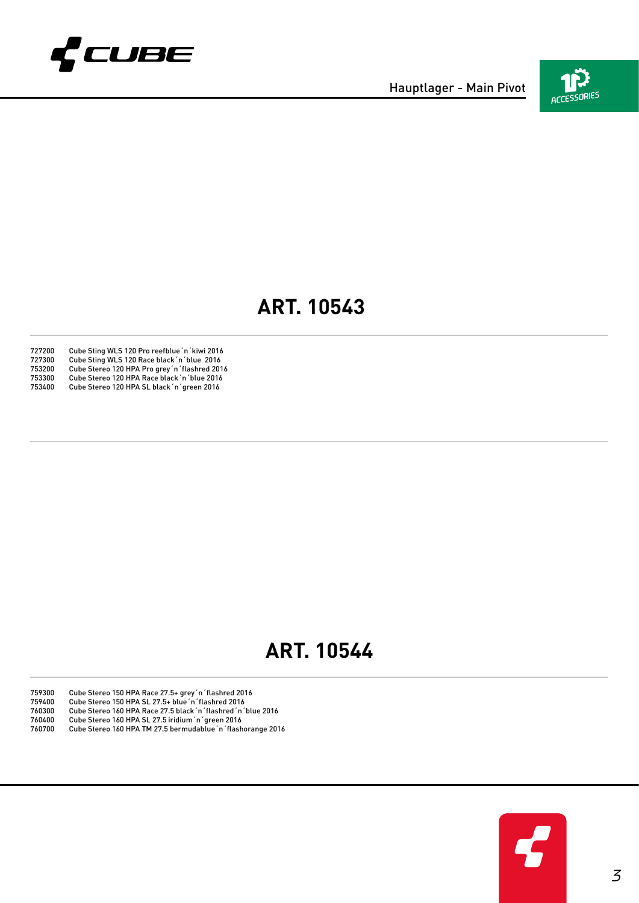



#### **ART. 10543**

727200 Cube Sting WLS 120 Pro reefblue 'n 'kiwi 2016<br>727300 Cube Sting WLS 120 Race black 'n 'blue 2016<br>753200 Cube Stereo 120 HPA Pro grey 'n 'flashred 201<br>753300 Cube Stereo 120 HPA Race black 'n 'blue 2016 Cube Sting WLS 120 Race black 'n 'blue 2016 Cube Stereo 120 HPA Pro grey´n´flashred 2016 Cube Stereo 120 HPA Race black´n´blue 2016 Cube Stereo 120 HPA SL black´n´green 2016

#### **ART. 10544**

Cube Stereo 150 HPA Race 27.5+ grey´n´flashred 2016

- Cube Stereo 150 HPA SL 27.5+ blue´n´flashred 2016
- Cube Stereo 160 HPA Race 27.5 black´n´flashred´n´blue 2016 Cube Stereo 160 HPA SL 27.5 iridium´n´green 2016
- Cube Stereo 160 HPA TM 27.5 bermudablue´n´flashorange 2016

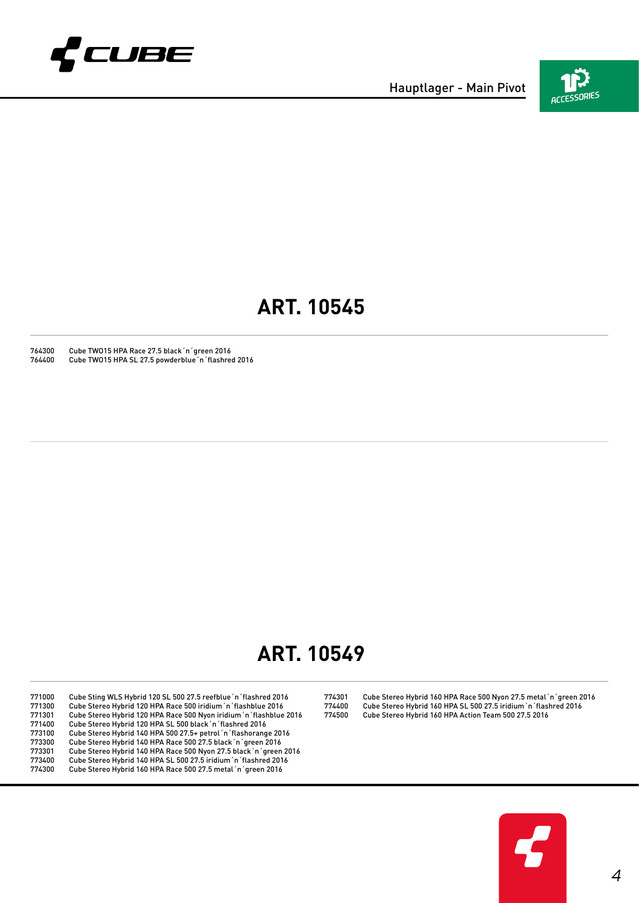

Hauptlager - Main Pivot



#### **ART. 10545**

 Cube TWO15 HPA Race 27.5 black´n´green 2016 Cube TWO15 HPA SL 27.5 powderblue'n'flashred 2016

## **ART. 10549**

 Cube Sting WLS Hybrid 120 SL 500 27.5 reefblue´n´flashred 2016 Cube Stereo Hybrid 120 HPA Race 500 iridium´n´flashblue 2016 771301 Cube Stereo Hybrid 120 HPA Race 500 Nyon iridium´n´flashblue 2016<br>771400 Cube Stereo Hybrid 120 HPA SL 500 black´n´flashred 2016<br>773100 Cube Stereo Hybrid 140 HPA 500 27.5+ petrol´n´flashorange 2016 Cube Stereo Hybrid 120 HPA SL 500 black 'n 'flashred 2016 Cube Stereo Hybrid 140 HPA 500 27.5+ petrol´n´flashorange 2016 Cube Stereo Hybrid 140 HPA Race 500 27.5 black´n´green 2016 Cube Stereo Hybrid 140 HPA Race 500 Nyon 27.5 black´n´green 2016 Cube Stereo Hybrid 140 HPA SL 500 27.5 iridium´n´flashred 2016 Cube Stereo Hybrid 160 HPA Race 500 27.5 metal 'n 'green 2016

 Cube Stereo Hybrid 160 HPA Race 500 Nyon 27.5 metal´n´green 2016 Cube Stereo Hybrid 160 HPA SL 500 27.5 iridium´n´flashred 2016 Cube Stereo Hybrid 160 HPA Action Team 500 27.5 2016

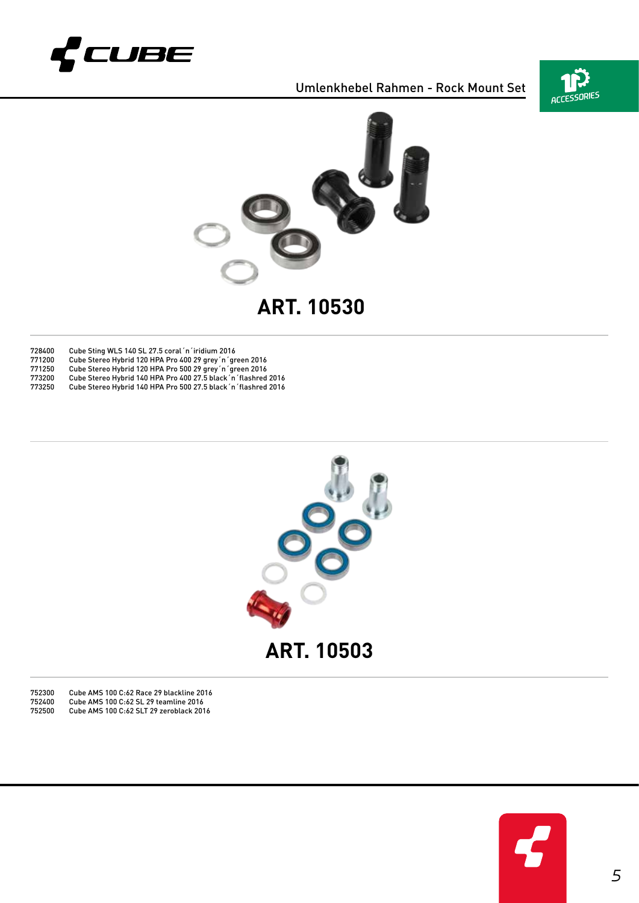

Umlenkhebel Rahmen - Rock Mount Set





**ART. 10530**

| 728400 | Cube Sting WLS 140 SL 27.5 coral 'n 'iridium 2016               |
|--------|-----------------------------------------------------------------|
| 771200 | Cube Stereo Hybrid 120 HPA Pro 400 29 grey 'n 'green 2016       |
| 771250 | Cube Stereo Hybrid 120 HPA Pro 500 29 grey 'n 'green 2016       |
| 773200 | Cube Stereo Hybrid 140 HPA Pro 400 27.5 black 'n 'flashred 2016 |
|        |                                                                 |

Cube Stereo Hybrid 140 HPA Pro 500 27.5 black´n´flashred 2016



 Cube AMS 100 C:62 Race 29 blackline 2016 Cube AMS 100 C:62 SL 29 teamline 2016 Cube AMS 100 C:62 SLT 29 zeroblack 2016

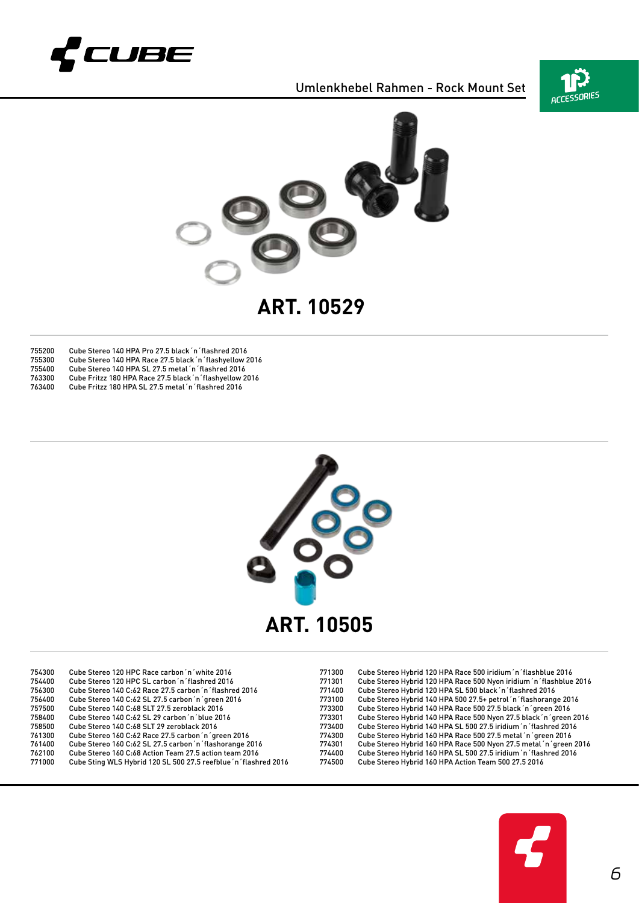

Umlenkhebel Rahmen - Rock Mount Set





**ART. 10529**

| Cube Stereo 140 HPA Pro 27.5 black 'n 'flashred 2016     |
|----------------------------------------------------------|
| Cube Stereo 140 HPA Race 27.5 black 'n 'flashvellow 2016 |
| Cube Stereo 140 HPA SL 27.5 metal 'n 'flashred 2016      |
| Cube Fritzz 180 HPA Race 27.5 black 'n 'flashvellow 2016 |
|                                                          |

- Cube Fritzz 180 HPA SL 27.5 metal´n´flashred 2016
	- **ART. 10505**

| 754300 | Cube Stereo 120 HPC Race carbon 'n 'white 2016                   | 771300 | Cube Stereo Hybrid 120 HPA Race 500 iridium 'n 'flashblue 2016      |
|--------|------------------------------------------------------------------|--------|---------------------------------------------------------------------|
| 754400 | Cube Stereo 120 HPC SL carbon 'n 'flashred 2016                  | 771301 | Cube Stereo Hybrid 120 HPA Race 500 Nyon iridium 'n 'flashblue 2016 |
| 756300 | Cube Stereo 140 C:62 Race 27.5 carbon 'n 'flashred 2016          | 771400 | Cube Stereo Hybrid 120 HPA SL 500 black 'n 'flashred 2016           |
| 756400 | Cube Stereo 140 C:62 SL 27.5 carbon 'n 'green 2016               | 773100 | Cube Stereo Hybrid 140 HPA 500 27.5+ petrol 'n 'flashorange 2016    |
| 757500 | Cube Stereo 140 C:68 SLT 27.5 zeroblack 2016                     | 773300 | Cube Stereo Hybrid 140 HPA Race 500 27.5 black 'n 'green 2016       |
| 758400 | Cube Stereo 140 C:62 SL 29 carbon 'n 'blue 2016                  | 773301 | Cube Stereo Hybrid 140 HPA Race 500 Nyon 27.5 black 'n 'green 2016  |
| 758500 | Cube Stereo 140 C:68 SLT 29 zeroblack 2016                       | 773400 | Cube Stereo Hybrid 140 HPA SL 500 27.5 iridium 'n 'flashred 2016    |
| 761300 | Cube Stereo 160 C:62 Race 27.5 carbon 'n 'green 2016             | 774300 | Cube Stereo Hybrid 160 HPA Race 500 27.5 metal 'n 'green 2016       |
| 761400 | Cube Stereo 160 C:62 SL 27.5 carbon 'n 'flashorange 2016         | 774301 | Cube Stereo Hybrid 160 HPA Race 500 Nyon 27.5 metal 'n 'green 2016  |
| 762100 | Cube Stereo 160 C:68 Action Team 27.5 action team 2016           | 774400 | Cube Stereo Hybrid 160 HPA SL 500 27.5 iridium 'n 'flashred 2016    |
| 771000 | Cube Sting WLS Hybrid 120 SL 500 27.5 reefblue 'n 'flashred 2016 | 774500 | Cube Stereo Hybrid 160 HPA Action Team 500 27.5 2016                |

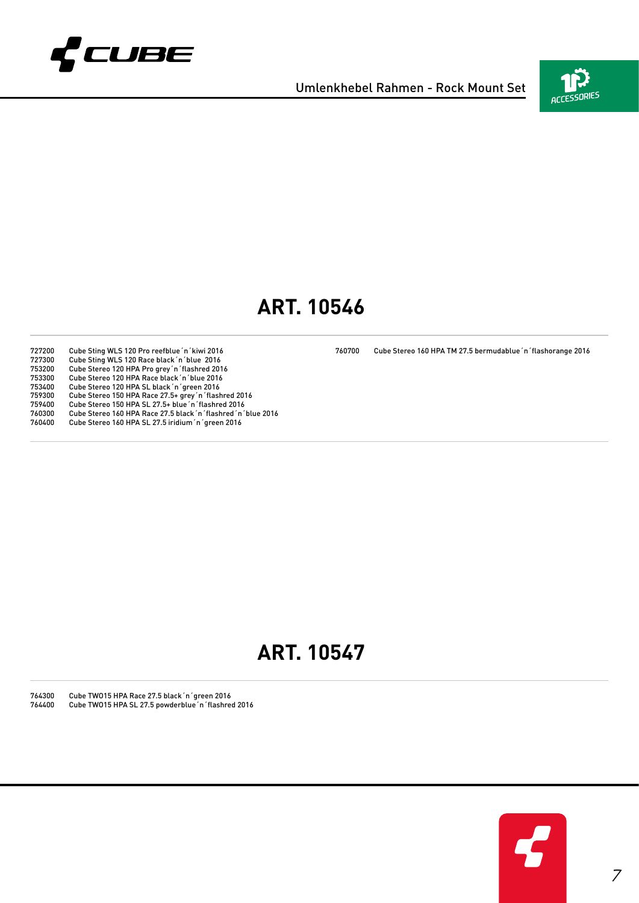

Umlenkhebel Rahmen - Rock Mount Set



#### **ART. 10546**

Cube Stereo 160 HPA TM 27.5 bermudablue´n´flashorange 2016

 Cube Sting WLS 120 Pro reefblue´n´kiwi 2016 Cube Sting WLS 120 Race black 'n 'blue 2016 Cube Stereo 120 HPA Pro grey´n´flashred 2016 Cube Stereo 120 HPA Race black´n´blue 2016 Cube Stereo 120 HPA SL black´n´green 2016 Cube Stereo 150 HPA Race 27.5+ grey´n´flashred 2016 Cube Stereo 150 HPA SL 27.5+ blue´n´flashred 2016 Cube Stereo 160 HPA Race 27.5 black´n´flashred´n´blue 2016 197400 Cube Stereo 150 HPA SL 27.54 blue 11 Itashied 2016<br>760300 Cube Stereo 160 HPA Race 27.5 black ´n´flashred ´n<br>760400 Cube Stereo 160 HPA SL 27.5 iridium ´n´green 2016

#### **ART. 10547**

 Cube TWO15 HPA Race 27.5 black´n´green 2016 Cube TWO15 HPA SL 27.5 powderblue´n´flashred 2016

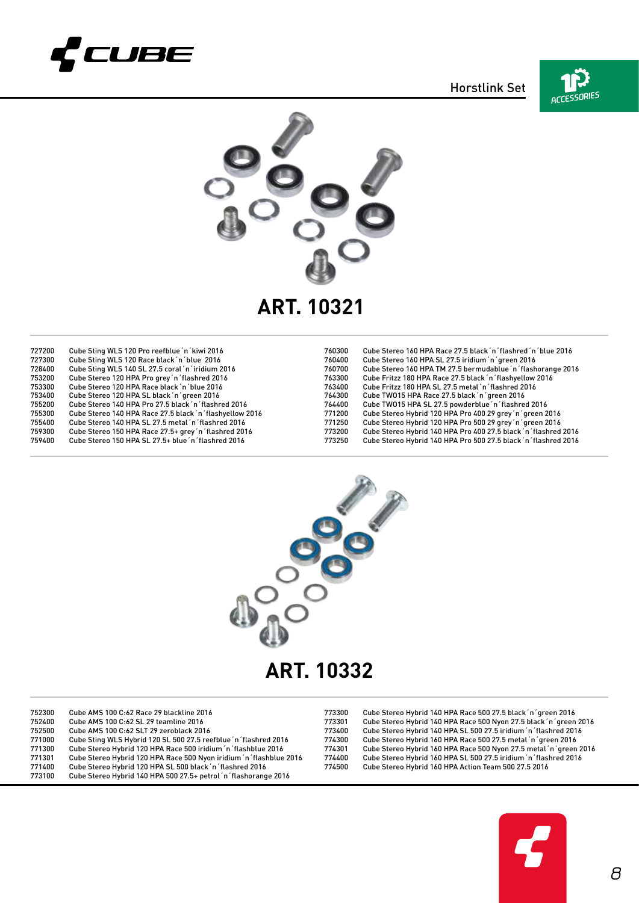

Horstlink Set





### **ART. 10321**

| 727200 | Cube Sting WLS 120 Pro reefblue 'n 'kiwi 2016            | 760300 | Cube Stereo 160 HPA Race 27.5 black 'n 'flashred 'n 'blue 2016  |
|--------|----------------------------------------------------------|--------|-----------------------------------------------------------------|
| 727300 | Cube Sting WLS 120 Race black 'n 'blue 2016              | 760400 | Cube Stereo 160 HPA SL 27.5 iridium 'n 'green 2016              |
| 728400 | Cube Sting WLS 140 SL 27.5 coral 'n 'iridium 2016        | 760700 | Cube Stereo 160 HPA TM 27.5 bermudablue 'n 'flashorange 2016    |
| 753200 | Cube Stereo 120 HPA Pro grey'n'flashred 2016             | 763300 | Cube Fritzz 180 HPA Race 27.5 black 'n 'flashyellow 2016        |
| 753300 | Cube Stereo 120 HPA Race black 'n 'blue 2016             | 763400 | Cube Fritzz 180 HPA SL 27.5 metal 'n 'flashred 2016             |
| 753400 | Cube Stereo 120 HPA SL black 'n 'green 2016              | 764300 | Cube TW015 HPA Race 27.5 black 'n 'green 2016                   |
| 755200 | Cube Stereo 140 HPA Pro 27.5 black 'n 'flashred 2016     | 764400 | Cube TW015 HPA SL 27.5 powderblue 'n 'flashred 2016             |
| 755300 | Cube Stereo 140 HPA Race 27.5 black 'n 'flashyellow 2016 | 771200 | Cube Stereo Hybrid 120 HPA Pro 400 29 grey 'n 'green 2016       |
| 755400 | Cube Stereo 140 HPA SL 27.5 metal 'n 'flashred 2016      | 771250 | Cube Stereo Hybrid 120 HPA Pro 500 29 grey 'n 'green 2016       |
| 759300 | Cube Stereo 150 HPA Race 27.5+ grey 'n 'flashred 2016    | 773200 | Cube Stereo Hybrid 140 HPA Pro 400 27.5 black 'n 'flashred 2016 |
| 759400 | Cube Stereo 150 HPA SL 27.5+ blue 'n 'flashred 2016      | 773250 | Cube Stereo Hybrid 140 HPA Pro 500 27.5 black 'n 'flashred 2016 |
|        |                                                          |        |                                                                 |



### **ART. 10332**

| 752300 | Cube AMS 100 C:62 Race 29 blackline 2016                            | 773300 | Cube Stereo Hybrid 140 HPA Race 500 27.5 black 'n 'green 2016      |
|--------|---------------------------------------------------------------------|--------|--------------------------------------------------------------------|
| 752400 | Cube AMS 100 C:62 SL 29 teamline 2016                               | 773301 | Cube Stereo Hybrid 140 HPA Race 500 Nyon 27.5 black 'n 'green 2016 |
| 752500 | Cube AMS 100 C:62 SLT 29 zeroblack 2016                             | 773400 | Cube Stereo Hybrid 140 HPA SL 500 27.5 iridium 'n 'flashred 2016   |
| 771000 | Cube Sting WLS Hybrid 120 SL 500 27.5 reefblue 'n 'flashred 2016    | 774300 | Cube Stereo Hybrid 160 HPA Race 500 27.5 metal 'n 'green 2016      |
| 771300 | Cube Stereo Hybrid 120 HPA Race 500 iridium 'n 'flashblue 2016      | 774301 | Cube Stereo Hybrid 160 HPA Race 500 Nyon 27.5 metal 'n 'green 2016 |
| 771301 | Cube Stereo Hybrid 120 HPA Race 500 Nyon iridium 'n 'flashblue 2016 | 774400 | Cube Stereo Hybrid 160 HPA SL 500 27.5 iridium 'n 'flashred 2016   |
| 771400 | Cube Stereo Hybrid 120 HPA SL 500 black 'n 'flashred 2016           | 774500 | Cube Stereo Hybrid 160 HPA Action Team 500 27.5 2016               |
| 773100 | Cube Stereo Hybrid 140 HPA 500 27.5+ petrol 'n 'flashorange 2016    |        |                                                                    |

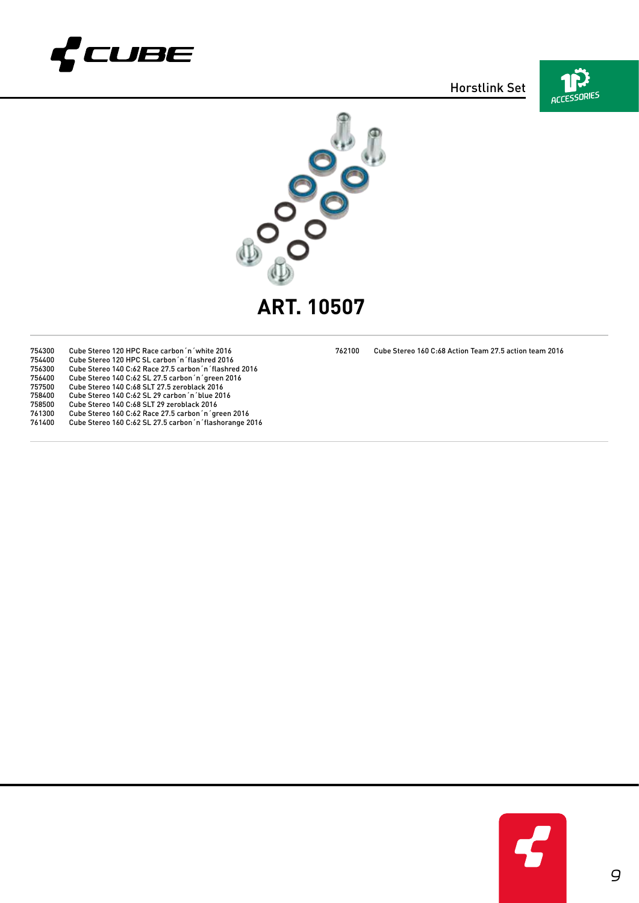

Horstlink Set





Cube Stereo 160 C:68 Action Team 27.5 action team 2016

754300 Cube Stereo 120 HPC Race carbon'n' white 2016<br>754400 Cube Stereo 120 HPC SL carbon'n' flashred 2016<br>756300 Cube Stereo 140 C:62 Race 27.5 carbon'n' flashr Cube Stereo 120 HPC SL carbon'n'flashred 2016 Cube Stereo 140 C:62 Race 27.5 carbon´n´flashred 2016 Cube Stereo 140 C:62 SL 27.5 carbon´n´green 2016 Cube Stereo 140 C:68 SLT 27.5 zeroblack 2016 Cube Stereo 140 C:62 SL 29 carbon´n´blue 2016 Cube Stereo 140 C:68 SLT 29 zeroblack 2016 Cube Stereo 160 C:62 Race 27.5 carbon´n´green 2016 Cube Stereo 160 C:62 SL 27.5 carbon´n´flashorange 2016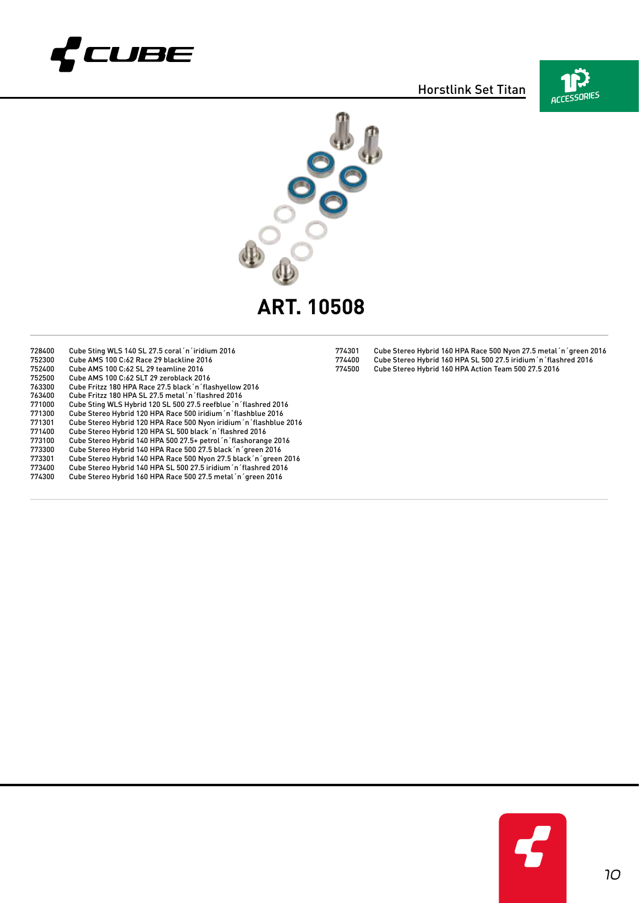

Horstlink Set Titan





 Cube Sting WLS 140 SL 27.5 coral´n´iridium 2016 Cube AMS 100 C:62 Race 29 blackline 2016 Cube AMS 100 C:62 SL 29 teamline 2016 Cube AMS 100 C:62 SLT 29 zeroblack 2016 Cube Fritzz 180 HPA Race 27.5 black´n´flashyellow 2016 Cube Fritzz 180 HPA SL 27.5 metal´n´flashred 2016 Cube Sting WLS Hybrid 120 SL 500 27.5 reefblue´n´flashred 2016 771000 Cube Sting WLS Hybrid 120 SL 500 27.5 reefblue 'n 'flashred 2014<br>771300 Cube Stereo Hybrid 120 HPA Race 500 iridium 'n 'flashblue 2016<br>771301 Cube Stereo Hybrid 120 HPA Race 500 Nyon iridium 'n 'flashblue Cube Stereo Hybrid 120 HPA Race 500 Nyon iridium´n´flashblue 2016 Cube Stereo Hybrid 120 HPA SL 500 black´n´flashred 2016 Cube Stereo Hybrid 140 HPA 500 27.5+ petrol´n´flashorange 2016 Cube Stereo Hybrid 140 HPA Race 500 27.5 black´n´green 2016 Cube Stereo Hybrid 140 HPA Race 500 Nyon 27.5 black´n´green 2016 Cube Stereo Hybrid 140 HPA SL 500 27.5 iridium´n´flashred 2016 Cube Stereo Hybrid 160 HPA Race 500 27.5 metal´n´green 2016

 Cube Stereo Hybrid 160 HPA Race 500 Nyon 27.5 metal´n´green 2016 Cube Stereo Hybrid 160 HPA SL 500 27.5 iridium´n´flashred 2016 Cube Stereo Hybrid 160 HPA Action Team 500 27.5 2016

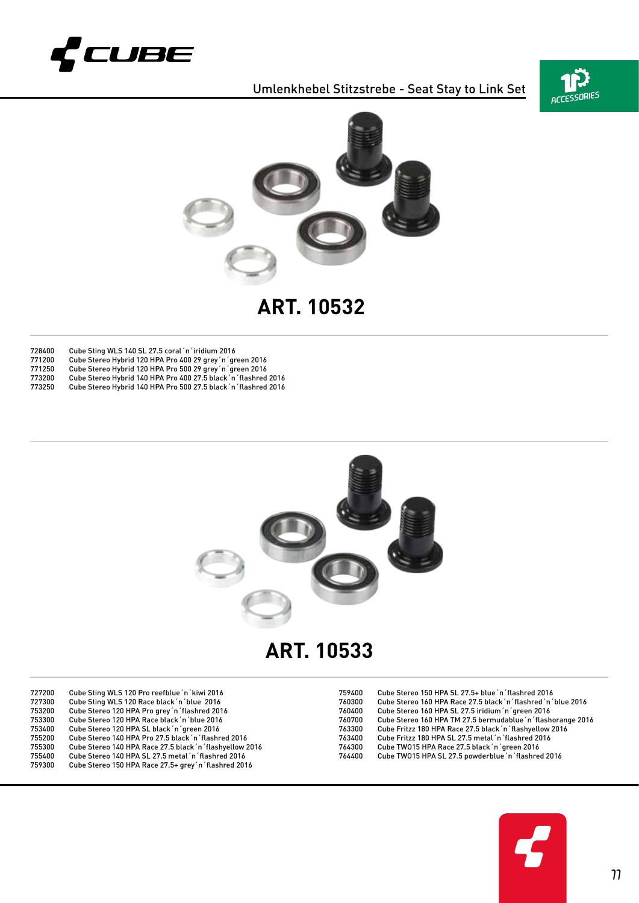

Umlenkhebel Stitzstrebe - Seat Stay to Link Set





**ART. 10532**

| 728400 | Cube Sting WLS 140 SL 27.5 coral 'n 'iridium 2016               |
|--------|-----------------------------------------------------------------|
| 771200 | Cube Stereo Hybrid 120 HPA Pro 400 29 grey 'n 'green 2016       |
| 771250 | Cube Stereo Hybrid 120 HPA Pro 500 29 grey 'n 'green 2016       |
| 773200 | Cube Stereo Hybrid 140 HPA Pro 400 27.5 black 'n 'flashred 2016 |
| BBAAFA | $\alpha$ i $\alpha$ , iii 'iaraileate coorde if in its loor     |

Cube Stereo Hybrid 140 HPA Pro 500 27.5 black´n´flashred 2016



#### **ART. 10533**

| 727200<br>Cube Sting WLS 120 Pro reefblue 'n 'kiwi 2016<br>Cube Sting WLS 120 Race black 'n 'blue 2016<br>727300<br>Cube Stereo 120 HPA Pro grey'n'flashred 2016<br>753200<br>Cube Stereo 120 HPA Race black 'n 'blue 2016<br>753300<br>Cube Stereo 120 HPA SL black 'n 'green 2016<br>753400<br>Cube Stereo 140 HPA Pro 27.5 black 'n 'flashred 2016<br>755200<br>Cube Stereo 140 HPA Race 27.5 black 'n 'flashyellow 2016<br>755300<br>Cube Stereo 140 HPA SL 27.5 metal 'n 'flashred 2016<br>755400<br>Cube Stereo 150 HPA Race 27.5+ grey 'n 'flashred 2016<br>759300 | 759400<br>760300<br>760400<br>760700<br>763300<br>763400<br>764300<br>764400 | Cube Stereo 150 HPA SL 27.5+ blue 'n 'flashred 2016<br>Cube Stereo 160 HPA Race 27.5 black 'n 'flashred 'n 'blue 2016<br>Cube Stereo 160 HPA SL 27.5 iridium 'n 'green 2016<br>Cube Stereo 160 HPA TM 27.5 bermudablue 'n 'flashorange 2016<br>Cube Fritzz 180 HPA Race 27.5 black 'n 'flashyellow 2016<br>Cube Fritzz 180 HPA SL 27.5 metal 'n 'flashred 2016<br>Cube TW015 HPA Race 27.5 black 'n 'green 2016<br>Cube TW015 HPA SL 27.5 powderblue 'n 'flashred 2016 |
|---------------------------------------------------------------------------------------------------------------------------------------------------------------------------------------------------------------------------------------------------------------------------------------------------------------------------------------------------------------------------------------------------------------------------------------------------------------------------------------------------------------------------------------------------------------------------|------------------------------------------------------------------------------|------------------------------------------------------------------------------------------------------------------------------------------------------------------------------------------------------------------------------------------------------------------------------------------------------------------------------------------------------------------------------------------------------------------------------------------------------------------------|
|---------------------------------------------------------------------------------------------------------------------------------------------------------------------------------------------------------------------------------------------------------------------------------------------------------------------------------------------------------------------------------------------------------------------------------------------------------------------------------------------------------------------------------------------------------------------------|------------------------------------------------------------------------------|------------------------------------------------------------------------------------------------------------------------------------------------------------------------------------------------------------------------------------------------------------------------------------------------------------------------------------------------------------------------------------------------------------------------------------------------------------------------|

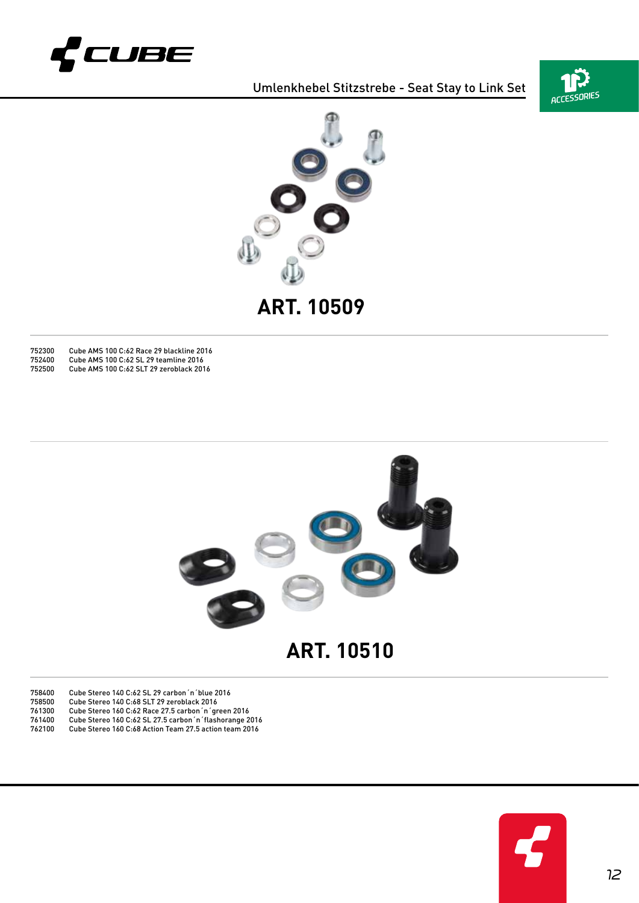

Umlenkhebel Stitzstrebe - Seat Stay to Link Set





**ART. 10509**

 Cube AMS 100 C:62 Race 29 blackline 2016 Cube AMS 100 C:62 SL 29 teamline 2016 Cube AMS 100 C:62 SLT 29 zeroblack 2016



**ART. 10510**

Cube Stereo 140 C:62 SL 29 carbon´n´blue 2016

Cube Stereo 140 C:68 SLT 29 zeroblack 2016

- Cube Stereo 160 C:62 Race 27.5 carbon´n´green 2016
- Cube Stereo 160 C:62 SL 27.5 carbon´n´flashorange 2016
- Cube Stereo 160 C:68 Action Team 27.5 action team 2016

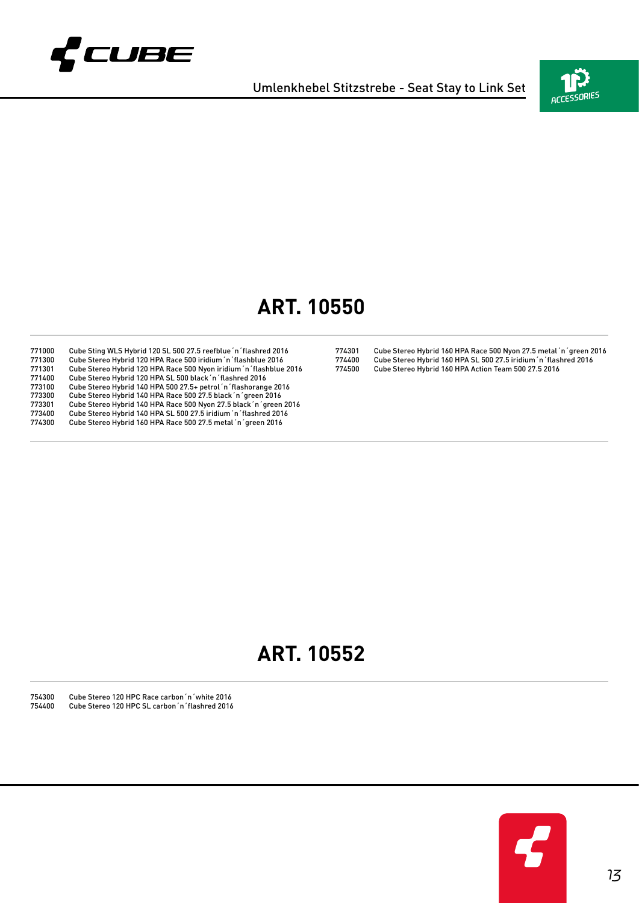

Umlenkhebel Stitzstrebe - Seat Stay to Link Set



#### **ART. 10550**

 Cube Sting WLS Hybrid 120 SL 500 27.5 reefblue´n´flashred 2016 771300 Cube Stereo Hybrid 120 HPA Race 500 iridium 'n 'flashblue 2016<br>771301 Cube Stereo Hybrid 120 HPA Race 500 Nyon iridium 'n 'flashblue Cube Stereo Hybrid 120 HPA Race 500 Nyon iridium´n´flashblue 2016 Cube Stereo Hybrid 120 HPA SL 500 black´n´flashred 2016 Cube Stereo Hybrid 140 HPA 500 27.5+ petrol´n´flashorange 2016 Cube Stereo Hybrid 140 HPA Race 500 27.5 black´n´green 2016 Cube Stereo Hybrid 140 HPA Race 500 Nyon 27.5 black´n´green 2016 Cube Stereo Hybrid 140 HPA SL 500 27.5 iridium´n´flashred 2016 Cube Stereo Hybrid 160 HPA Race 500 27.5 metal´n´green 2016

 Cube Stereo Hybrid 160 HPA Race 500 Nyon 27.5 metal´n´green 2016 Cube Stereo Hybrid 160 HPA SL 500 27.5 iridium´n´flashred 2016 Cube Stereo Hybrid 160 HPA Action Team 500 27.5 2016

#### **ART. 10552**

 Cube Stereo 120 HPC Race carbon´n´white 2016 Cube Stereo 120 HPC SL carbon´n´flashred 2016

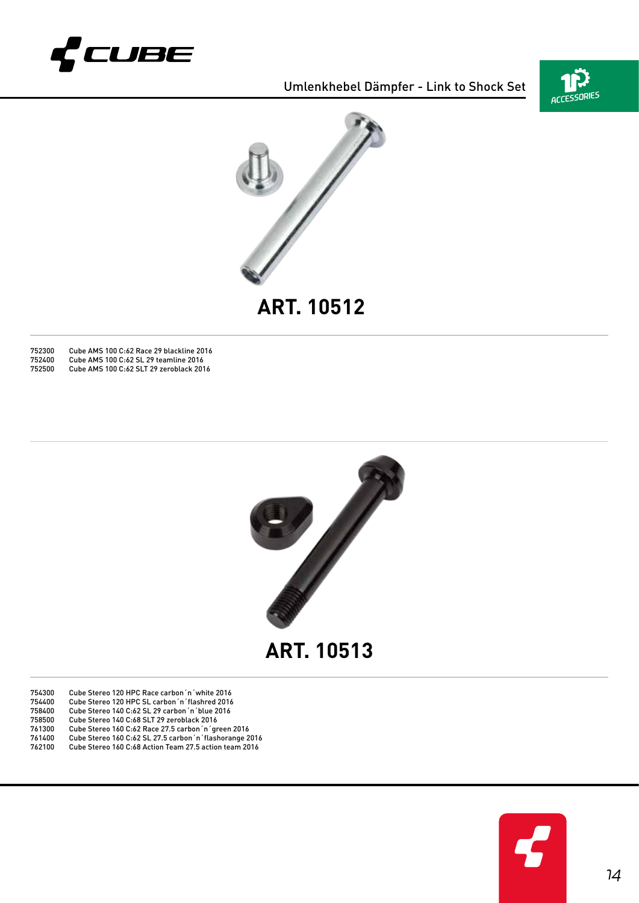

Umlenkhebel Dämpfer - Link to Shock Set





**ART. 10512**

 Cube AMS 100 C:62 Race 29 blackline 2016 Cube AMS 100 C:62 SL 29 teamline 2016 Cube AMS 100 C:62 SLT 29 zeroblack 2016



| 754300 | Cube Stereo 120 HPC Race carbon 'n 'white 2016   |
|--------|--------------------------------------------------|
| 754400 | Cube Stereo 120 HPC SL carbon 'n 'flashred 2016  |
| 758400 | Cube Stereo 140 C:62 SL 29 carbon 'n 'blue 2016  |
| BFAFAA | $0.1$ $0.1$ $0.10$ $0.01$ $0.001$ $0.11$ $0.011$ |

- Cube Stereo 140 C:68 SLT 29 zeroblack 2016
- Cube Stereo 160 C:62 Race 27.5 carbon´n´green 2016
- Cube Stereo 160 C:62 SL 27.5 carbon´n´flashorange 2016 Cube Stereo 160 C:68 Action Team 27.5 action team 2016
- 

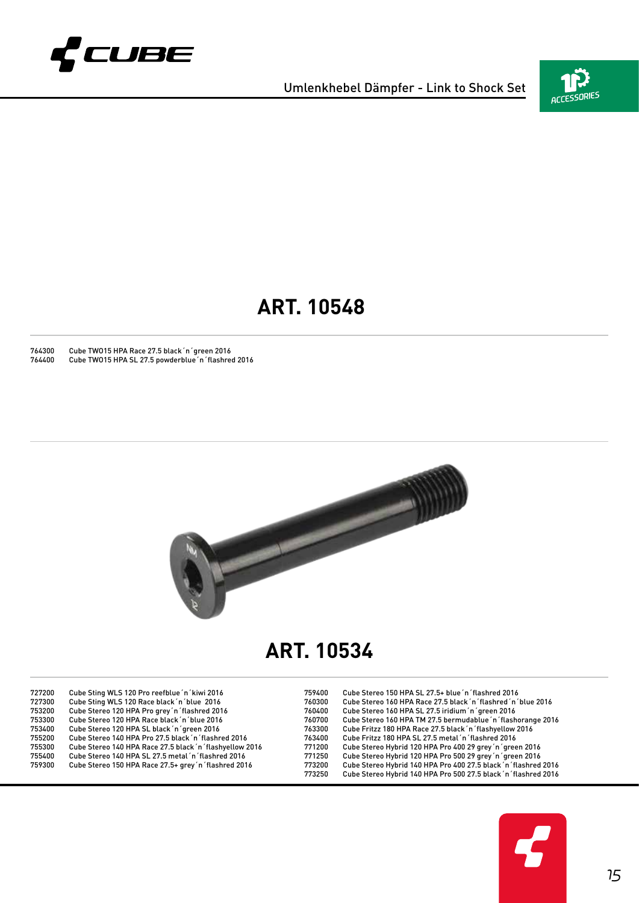

Umlenkhebel Dämpfer - Link to Shock Set



#### **ART. 10548**

 Cube TWO15 HPA Race 27.5 black´n´green 2016 Cube TWO15 HPA SL 27.5 powderblue´n´flashred 2016



#### **ART. 10534**

| 727200 | Cube Sting WLS 120 Pro reefblue 'n 'kiwi 2016            | 759400 | Cube Stereo 150 HPA SL 27.5+ blue 'n 'flashred 2016             |
|--------|----------------------------------------------------------|--------|-----------------------------------------------------------------|
| 727300 | Cube Sting WLS 120 Race black 'n 'blue 2016              | 760300 | Cube Stereo 160 HPA Race 27.5 black 'n 'flashred 'n 'blue 2016  |
| 753200 | Cube Stereo 120 HPA Pro grey'n'flashred 2016             | 760400 | Cube Stereo 160 HPA SL 27.5 iridium 'n 'green 2016              |
| 753300 | Cube Stereo 120 HPA Race black 'n 'blue 2016             | 760700 | Cube Stereo 160 HPA TM 27.5 bermudablue 'n 'flashorange 2016    |
| 753400 | Cube Stereo 120 HPA SL black 'n 'green 2016              | 763300 | Cube Fritzz 180 HPA Race 27.5 black 'n 'flashyellow 2016        |
| 755200 | Cube Stereo 140 HPA Pro 27.5 black 'n 'flashred 2016     | 763400 | Cube Fritzz 180 HPA SL 27.5 metal 'n 'flashred 2016             |
| 755300 | Cube Stereo 140 HPA Race 27.5 black 'n 'flashyellow 2016 | 771200 | Cube Stereo Hybrid 120 HPA Pro 400 29 grey 'n 'green 2016       |
| 755400 | Cube Stereo 140 HPA SL 27.5 metal 'n 'flashred 2016      | 771250 | Cube Stereo Hybrid 120 HPA Pro 500 29 grey 'n 'green 2016       |
| 759300 | Cube Stereo 150 HPA Race 27.5+ grev 'n 'flashred 2016    | 773200 | Cube Stereo Hybrid 140 HPA Pro 400 27.5 black 'n 'flashred 2016 |
|        |                                                          | 773250 | Cube Stereo Hybrid 140 HPA Pro 500 27.5 black 'n 'flashred 2016 |

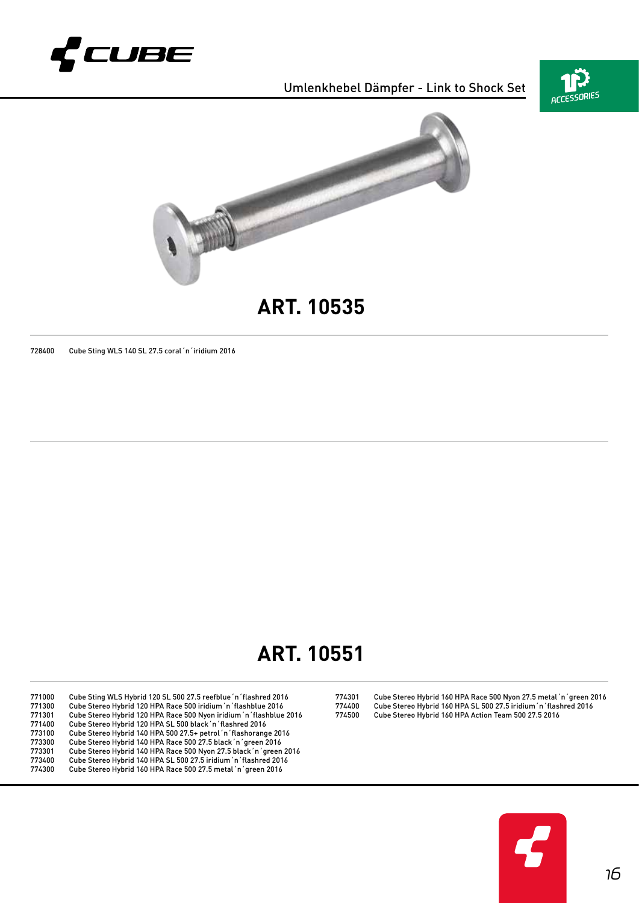

Umlenkhebel Dämpfer - Link to Shock Set





728400 Cube Sting WLS 140 SL 27.5 coral´n´iridium 2016

### **ART. 10551**

 Cube Sting WLS Hybrid 120 SL 500 27.5 reefblue´n´flashred 2016 Cube Stereo Hybrid 120 HPA Race 500 iridium´n´flashblue 2016 771301 Cube Stereo Hybrid 120 HPA Race 500 Nyon iridium ´n´flashblue 2016<br>771400 Cube Stereo Hybrid 120 HPA SL 500 black ´n´flashred 2016<br>773100 Cube Stereo Hybrid 140 HPA 500 27.5+ petrol ´n´flashoran Cube Stereo Hybrid 120 HPA SL 500 black 'n 'flashred 2016 Cube Stereo Hybrid 140 HPA 500 27.5+ petrol´n´flashorange 2016 Cube Stereo Hybrid 140 HPA Race 500 27.5 black´n´green 2016 Cube Stereo Hybrid 140 HPA Race 500 Nyon 27.5 black´n´green 2016 Cube Stereo Hybrid 140 HPA SL 500 27.5 iridium´n´flashred 2016 Cube Stereo Hybrid 160 HPA Race 500 27.5 metal 'n 'green 2016

774301 Cube Stereo Hybrid 160 HPA Race 500 Nyon 27.5 metal´n´green 2016 774400 Cube Stereo Hybrid 160 HPA SL 500 27.5 iridium´n´flashred 2016 Cube Stereo Hybrid 160 HPA Action Team 500 27.5 2016

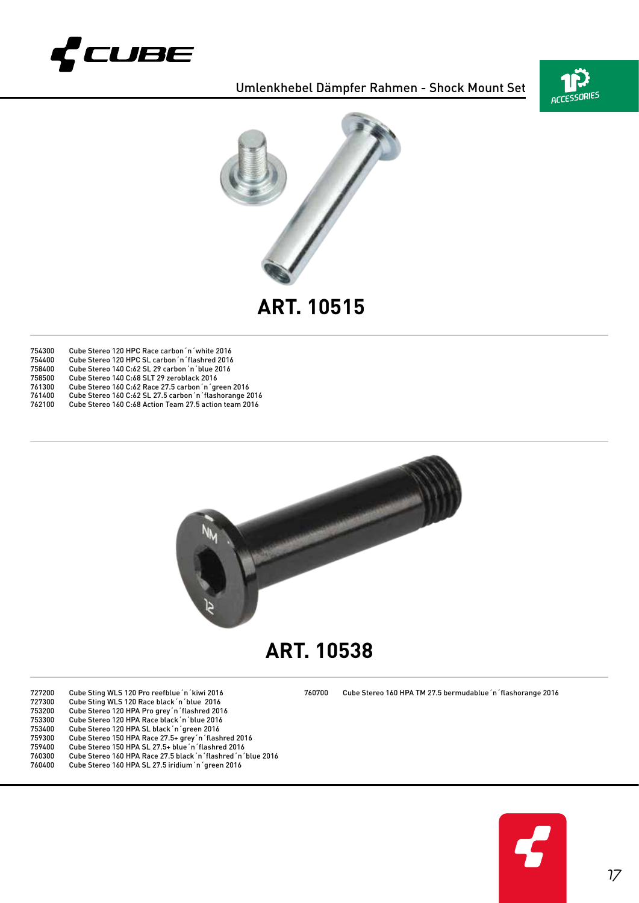

Umlenkhebel Dämpfer Rahmen - Shock Mount Set





**ART. 10515**

| 754300 | Cube Stereo 120 HPC Race carbon 'n 'white 2016           |
|--------|----------------------------------------------------------|
| 754400 | Cube Stereo 120 HPC SL carbon 'n 'flashred 2016          |
| 758400 | Cube Stereo 140 C:62 SL 29 carbon 'n 'blue 2016          |
| 758500 | Cube Stereo 140 C:68 SLT 29 zeroblack 2016               |
| 761300 | Cube Stereo 160 C:62 Race 27.5 carbon 'n 'green 2016     |
| 761400 | Cube Stereo 160 C:62 SL 27.5 carbon 'n 'flashorange 2016 |
| 762100 | Cube Stereo 160 C:68 Action Team 27.5 action team 2016   |



#### **ART. 10538**

 Cube Sting WLS 120 Pro reefblue´n´kiwi 2016 727300 Cube Sting WLS 120 Race black 'n 'blue 2016<br>753200 Cube Stereo 120 HPA Pro grey 'n 'flashred 201 Cube Stereo 120 HPA Pro grey´n´flashred 2016 Cube Stereo 120 HPA Race black´n´blue 2016 Cube Stereo 120 HPA SL black´n´green 2016 Cube Stereo 150 HPA Race 27.5+ grey´n´flashred 2016 Cube Stereo 150 HPA SL 27.5+ blue´n´flashred 2016 Cube Stereo 160 HPA Race 27.5 black´n´flashred´n´blue 2016 Cube Stereo 160 HPA SL 27.5 iridium´n´green 2016

Cube Stereo 160 HPA TM 27.5 bermudablue´n´flashorange 2016

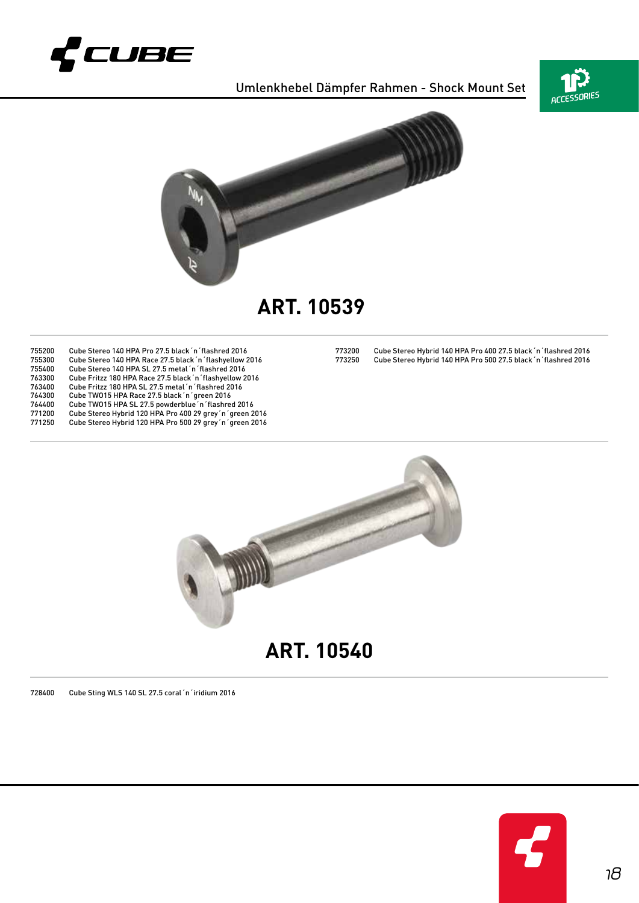

Umlenkhebel Dämpfer Rahmen - Shock Mount Set





**ART. 10539**

| 755200 | Cube Stereo 140 HPA Pro 27.5 black 'n 'flashred 2016      |
|--------|-----------------------------------------------------------|
| 755300 | Cube Stereo 140 HPA Race 27.5 black 'n 'flashyellow 2016  |
| 755400 | Cube Stereo 140 HPA SL 27.5 metal 'n 'flashred 2016       |
| 763300 | Cube Fritzz 180 HPA Race 27.5 black 'n 'flashyellow 2016  |
| 763400 | Cube Fritzz 180 HPA SL 27.5 metal 'n 'flashred 2016       |
| 764300 | Cube TW015 HPA Race 27.5 black 'n 'green 2016             |
| 764400 | Cube TW015 HPA SL 27.5 powderblue 'n 'flashred 2016       |
| 771200 | Cube Stereo Hybrid 120 HPA Pro 400 29 grey 'n 'green 2016 |
| 771250 | Cube Stereo Hybrid 120 HPA Pro 500 29 grey 'n 'green 2016 |
|        |                                                           |

 Cube Stereo Hybrid 140 HPA Pro 400 27.5 black´n´flashred 2016 Cube Stereo Hybrid 140 HPA Pro 500 27.5 black´n´flashred 2016



Cube Sting WLS 140 SL 27.5 coral´n´iridium 2016

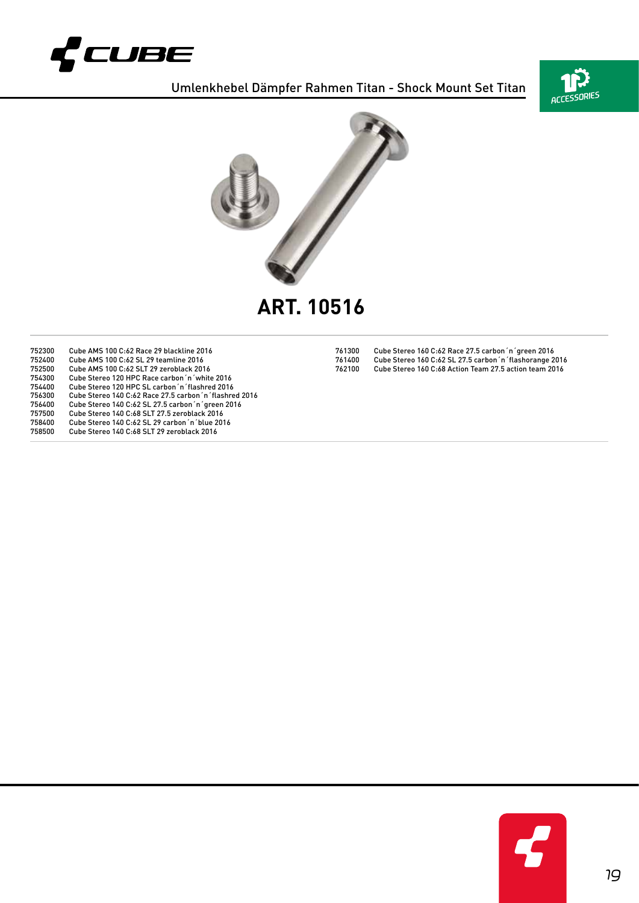

Umlenkhebel Dämpfer Rahmen Titan - Shock Mount Set Titan





**ART. 10516**

 Cube AMS 100 C:62 Race 29 blackline 2016 Cube AMS 100 C:62 SL 29 teamline 2016 Cube AMS 100 C:62 SLT 29 zeroblack 2016 Cube Stereo 120 HPC Race carbon´n´white 2016 Cube Stereo 120 HPC SL carbon´n´flashred 2016 Cube Stereo 120 RPC SL carbon in tashright 2016<br> $756400$  Cube Stereo 140 C:62 Race 27.5 carbon în îghehred 2016<br> $757500$  Cube Stereo 140 C:62 SL 27.5 carbon în îgreen 2016<br> $757500$  Cube Stereo 140 C:68 SLT 27.5 z Cube Stereo 140 C:62 SL 27.5 carbon'n'green 2016 Cube Stereo 140 C:68 SLT 27.5 zeroblack 2016 Cube Stereo 140 C:62 SL 29 carbon´n´blue 2016 Cube Stereo 140 C:68 SLT 29 zeroblack 2016

 Cube Stereo 160 C:62 Race 27.5 carbon´n´green 2016 Cube Stereo 160 C:62 SL 27.5 carbon´n´flashorange 2016 Cube Stereo 160 C:68 Action Team 27.5 action team 2016

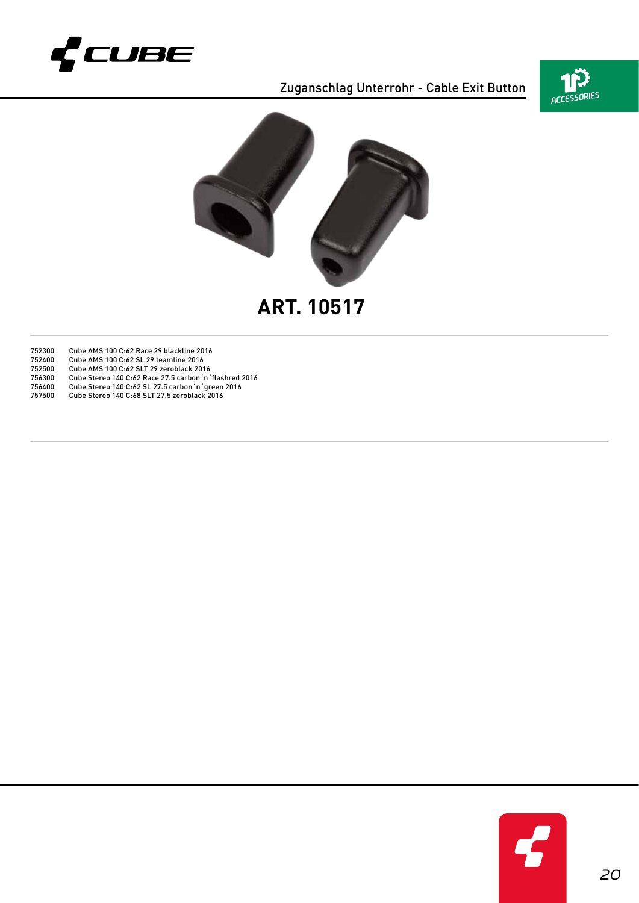

Zuganschlag Unterrohr - Cable Exit Button





**ART. 10517**

 Cube AMS 100 C:62 Race 29 blackline 2016 Cube AMS 100 C:62 SL 29 teamline 2016 Cube AMS 100 C:62 SLT 29 zeroblack 2016 Cube Stereo 140 C:62 Race 27.5 carbon´n´flashred 2016 Cube Stereo 140 C:62 SL 27.5 carbon´n´green 2016 Cube Stereo 140 C:68 SLT 27.5 zeroblack 2016

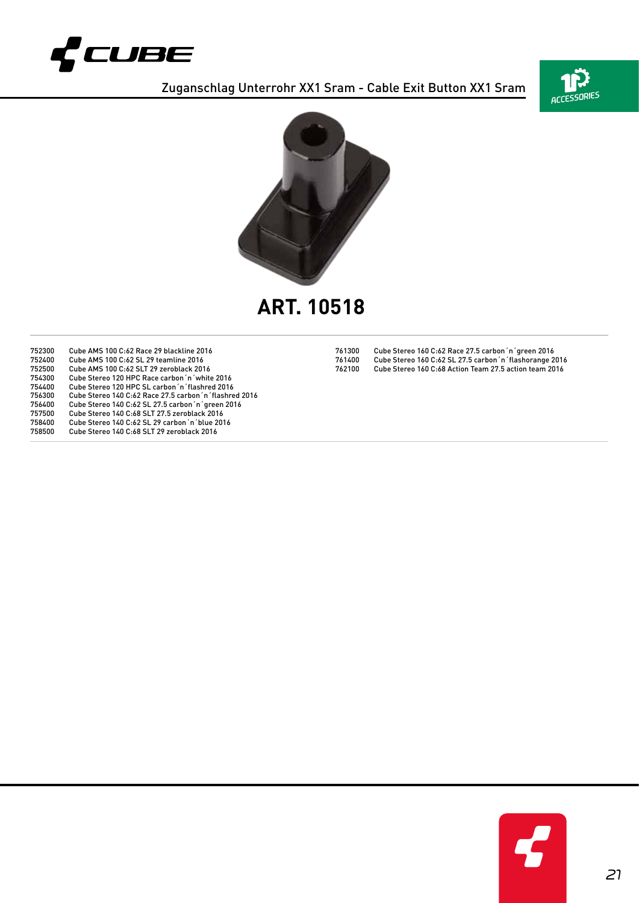

#### Zuganschlag Unterrohr XX1 Sram - Cable Exit Button XX1 Sram





**ART. 10518**

752300 Cube AMS 100 C:62 Race 29 blackline 2016<br>752400 Cube AMS 100 C:62 SL 29 teamline 2016<br>752500 Cube AMS 100 C:62 SLT 29 zeroblack 2016<br>754300 Cube Stereo 120 HPC Race carbon 'n 'White<br>754400 Cube Stereo 120 HPC SL car Cube AMS 100 C:62 SL 29 teamline 2016 Cube AMS 100 C:62 SLT 29 zeroblack 2016 Cube Stereo 120 HPC Race carbon´n´white 2016 Cube Stereo 120 HPC SL carbon´n´flashred 2016 Cube Stereo 120 HPC SL carbon in Itashred 2016<br> $756300$  Cube Stereo 140 C:62 Race 27.5 carbon´n´flashred 2016<br> $755600$  Cube Stereo 140 C:62 SL 27.5 carbon´n´green 2016<br> $757500$  Cube Stereo 140 C:68 SLT 27.5 zerob Cube Stereo 140 C:62 SL 27.5 carbon´n´green 2016 Cube Stereo 140 C:68 SLT 27.5 zeroblack 2016 Cube Stereo 140 C:62 SL 29 carbon´n´blue 2016 Cube Stereo 140 C:68 SLT 29 zeroblack 2016

| 761300 | Cube Stereo 160 C:62 Race 27.5 carbon 'n 'green 2016     |
|--------|----------------------------------------------------------|
| 761400 | Cube Stereo 160 C:62 SL 27.5 carbon 'n 'flashorange 2016 |
| 762100 | Cube Stereo 160 C:68 Action Team 27.5 action team 2016   |

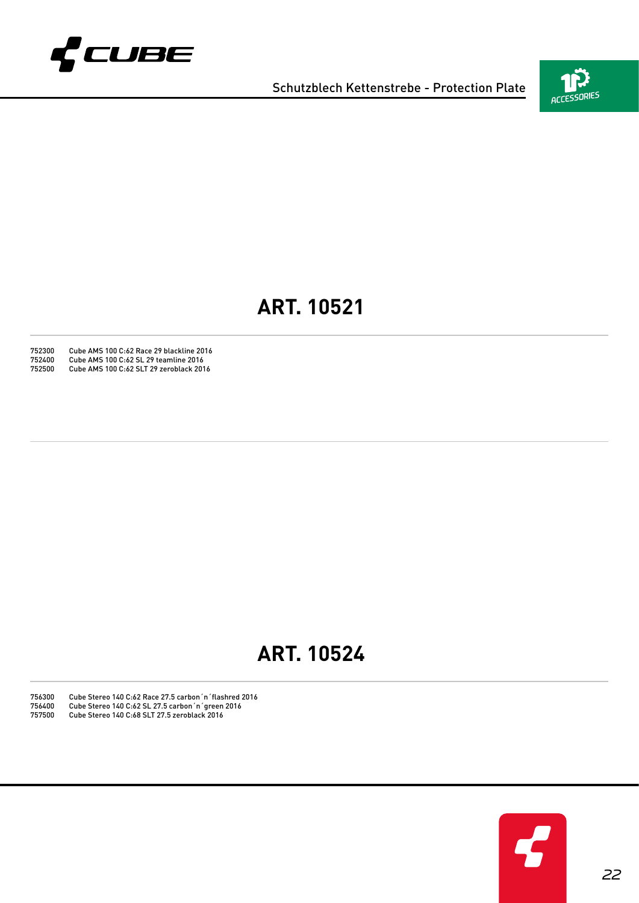

Schutzblech Kettenstrebe - Protection Plate



#### **ART. 10521**

752300 Cube AMS 100 C:62 Race 29 blackline 2016 752400 Cube AMS 100 C:62 SL 29 teamline 2016 752500 Cube AMS 100 C:62 SLT 29 zeroblack 2016

#### **ART. 10524**

756300 Cube Stereo 140 C:62 Race 27.5 carbon´n´flashred 2016 Cube Stereo 140 C:62 SL 27.5 carbon'n'green 2016

Cube Stereo 140 C:68 SLT 27.5 zeroblack 2016